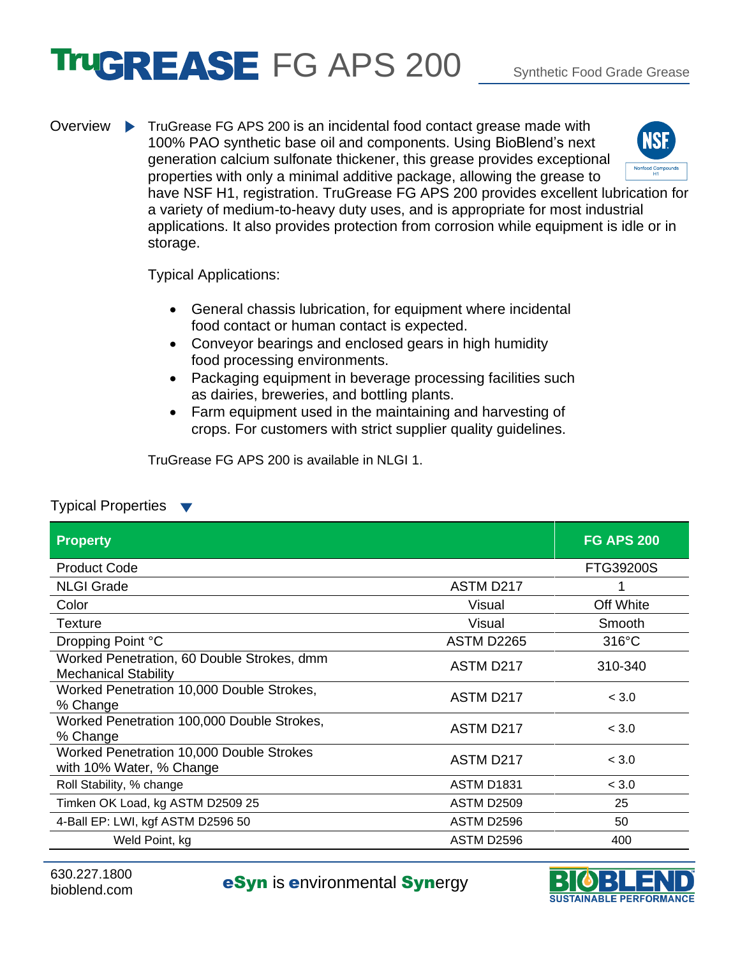## **TIUGREASE** FG APS 200 Synthetic Food Grade Grease

Overview TruGrease FG APS 200 is an incidental food contact grease made with **NSF** 100% PAO synthetic base oil and components. Using BioBlend's next generation calcium sulfonate thickener, this grease provides exceptional properties with only a minimal additive package, allowing the grease to have NSF H1, registration. TruGrease FG APS 200 provides excellent lubrication for a variety of medium-to-heavy duty uses, and is appropriate for most industrial applications. It also provides protection from corrosion while equipment is idle or in storage.

Typical Applications:

- General chassis lubrication, for equipment where incidental food contact or human contact is expected.
- Conveyor bearings and enclosed gears in high humidity food processing environments.
- Packaging equipment in beverage processing facilities such as dairies, breweries, and bottling plants.
- Farm equipment used in the maintaining and harvesting of crops. For customers with strict supplier quality guidelines.

TruGrease FG APS 200 is available in NLGI 1.

## Typical Properties

| <b>Property</b>                                                           |                   | <b>FG APS 200</b> |
|---------------------------------------------------------------------------|-------------------|-------------------|
| <b>Product Code</b>                                                       |                   | FTG39200S         |
| <b>NLGI Grade</b>                                                         | ASTM D217         |                   |
| Color                                                                     | Visual            | Off White         |
| Texture                                                                   | Visual            | Smooth            |
| Dropping Point °C                                                         | <b>ASTM D2265</b> | $316^{\circ}$ C   |
| Worked Penetration, 60 Double Strokes, dmm<br><b>Mechanical Stability</b> | ASTM D217         | 310-340           |
| Worked Penetration 10,000 Double Strokes,<br>% Change                     | ASTM D217         | < 3.0             |
| Worked Penetration 100,000 Double Strokes,<br>% Change                    | ASTM D217         | < 3.0             |
| Worked Penetration 10,000 Double Strokes<br>with 10% Water, % Change      | ASTM D217         | < 3.0             |
| Roll Stability, % change                                                  | <b>ASTM D1831</b> | < 3.0             |
| Timken OK Load, kg ASTM D2509 25                                          | <b>ASTM D2509</b> | 25                |
| 4-Ball EP: LWI, kgf ASTM D2596 50                                         | ASTM D2596        | 50                |
| Weld Point, kg                                                            | <b>ASTM D2596</b> | 400               |

b30.227.1800<br>bioblend.com **eSyn** is **environmental Synergy**